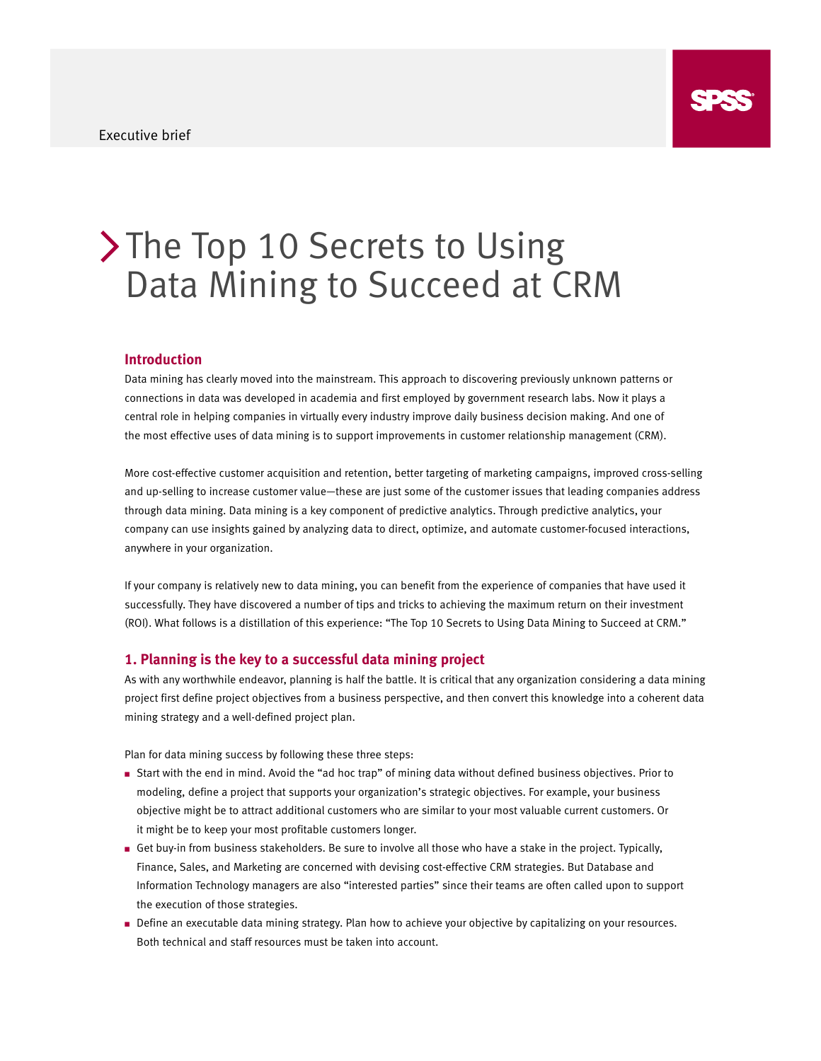

# > The Top 10 Secrets to Using Data Mining to Succeed at CRM

## **Introduction**

Data mining has clearly moved into the mainstream. This approach to discovering previously unknown patterns or connections in data was developed in academia and first employed by government research labs. Now it plays a central role in helping companies in virtually every industry improve daily business decision making. And one of the most effective uses of data mining is to support improvements in customer relationship management (CRM).

More cost-effective customer acquisition and retention, better targeting of marketing campaigns, improved cross-selling and up-selling to increase customer value—these are just some of the customer issues that leading companies address through data mining. Data mining is a key component of predictive analytics. Through predictive analytics, your company can use insights gained by analyzing data to direct, optimize, and automate customer-focused interactions, anywhere in your organization.

If your company is relatively new to data mining, you can benefit from the experience of companies that have used it successfully. They have discovered a number of tips and tricks to achieving the maximum return on their investment (ROI). What follows is a distillation of this experience: "The Top 10 Secrets to Using Data Mining to Succeed at CRM."

## **1. Planning is the key to a successful data mining project**

As with any worthwhile endeavor, planning is half the battle. It is critical that any organization considering a data mining project first define project objectives from a business perspective, and then convert this knowledge into a coherent data mining strategy and a well-defined project plan.

Plan for data mining success by following these three steps:

- Start with the end in mind. Avoid the "ad hoc trap" of mining data without defined business objectives. Prior to modeling, define a project that supports your organization's strategic objectives. For example, your business objective might be to attract additional customers who are similar to your most valuable current customers. Or it might be to keep your most profitable customers longer.
- Get buy-in from business stakeholders. Be sure to involve all those who have a stake in the project. Typically, Finance, Sales, and Marketing are concerned with devising cost-effective CRM strategies. But Database and Information Technology managers are also "interested parties" since their teams are often called upon to support the execution of those strategies.
- Define an executable data mining strategy. Plan how to achieve your objective by capitalizing on your resources. Both technical and staff resources must be taken into account.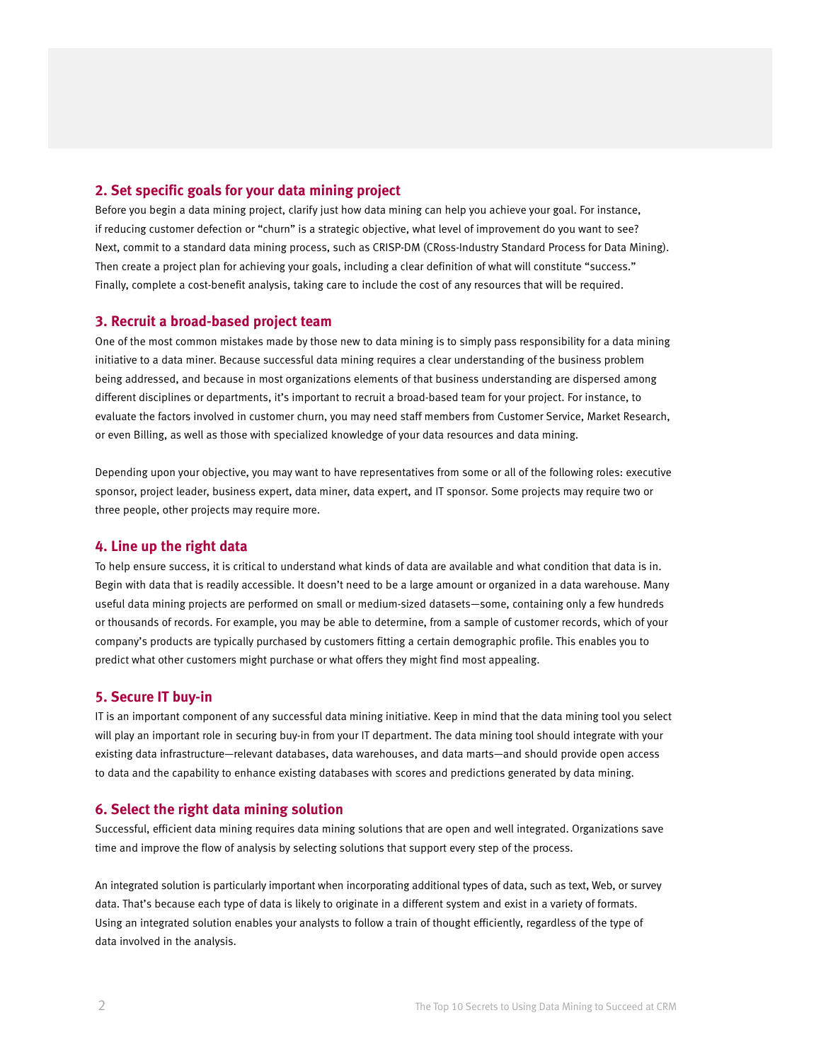# **2. Set specific goals for your data mining project**

Before you begin a data mining project, clarify just how data mining can help you achieve your goal. For instance, if reducing customer defection or "churn" is a strategic objective, what level of improvement do you want to see? Next, commit to a standard data mining process, such as CRISP-DM (CRoss-Industry Standard Process for Data Mining). Then create a project plan for achieving your goals, including a clear definition of what will constitute "success." Finally, complete a cost-benefit analysis, taking care to include the cost of any resources that will be required.

#### **3. Recruit a broad-based project team**

One of the most common mistakes made by those new to data mining is to simply pass responsibility for a data mining initiative to a data miner. Because successful data mining requires a clear understanding of the business problem being addressed, and because in most organizations elements of that business understanding are dispersed among different disciplines or departments, it's important to recruit a broad-based team for your project. For instance, to evaluate the factors involved in customer churn, you may need staff members from Customer Service, Market Research, or even Billing, as well as those with specialized knowledge of your data resources and data mining.

Depending upon your objective, you may want to have representatives from some or all of the following roles: executive sponsor, project leader, business expert, data miner, data expert, and IT sponsor. Some projects may require two or three people, other projects may require more.

#### **4. Line up the right data**

To help ensure success, it is critical to understand what kinds of data are available and what condition that data is in. Begin with data that is readily accessible. It doesn't need to be a large amount or organized in a data warehouse. Many useful data mining projects are performed on small or medium-sized datasets—some, containing only a few hundreds or thousands of records. For example, you may be able to determine, from a sample of customer records, which of your company's products are typically purchased by customers fitting a certain demographic profile. This enables you to predict what other customers might purchase or what offers they might find most appealing.

## **5. Secure IT buy-in**

IT is an important component of any successful data mining initiative. Keep in mind that the data mining tool you select will play an important role in securing buy-in from your IT department. The data mining tool should integrate with your existing data infrastructure—relevant databases, data warehouses, and data marts—and should provide open access to data and the capability to enhance existing databases with scores and predictions generated by data mining.

## **6. Select the right data mining solution**

Successful, efficient data mining requires data mining solutions that are open and well integrated. Organizations save time and improve the flow of analysis by selecting solutions that support every step of the process.

An integrated solution is particularly important when incorporating additional types of data, such as text, Web, or survey data. That's because each type of data is likely to originate in a different system and exist in a variety of formats. Using an integrated solution enables your analysts to follow a train of thought efficiently, regardless of the type of data involved in the analysis.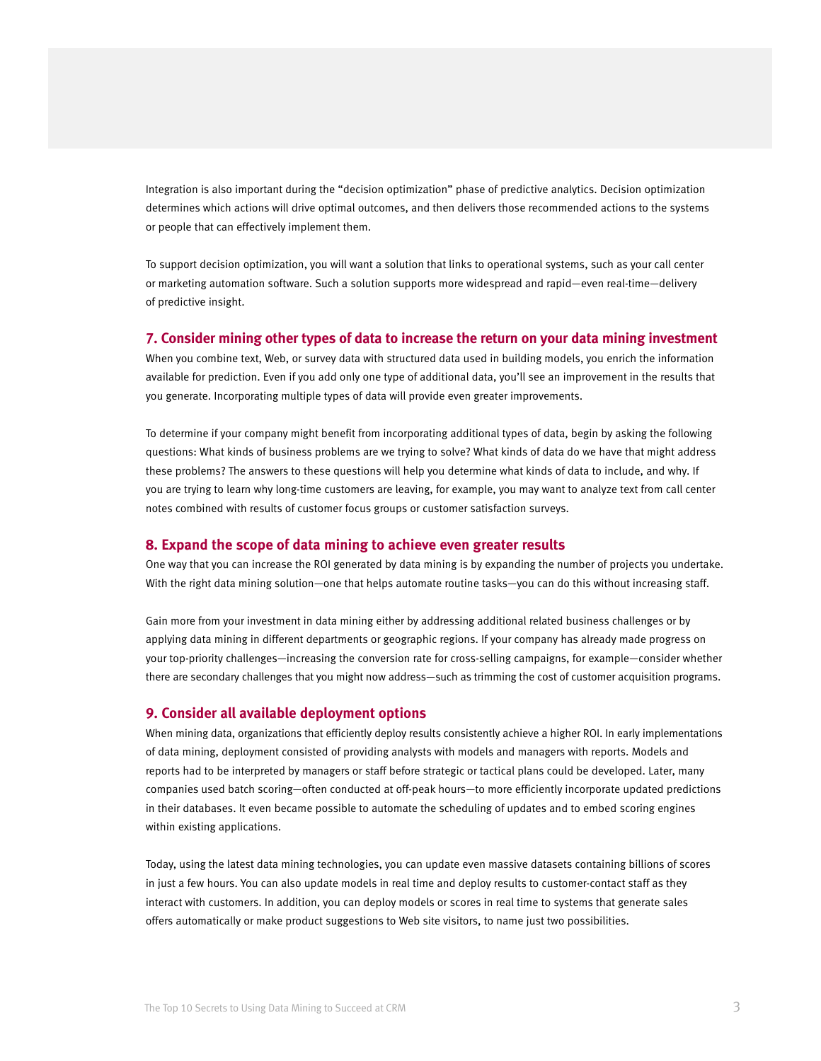Integration is also important during the "decision optimization" phase of predictive analytics. Decision optimization determines which actions will drive optimal outcomes, and then delivers those recommended actions to the systems or people that can effectively implement them.

To support decision optimization, you will want a solution that links to operational systems, such as your call center or marketing automation software. Such a solution supports more widespread and rapid—even real-time—delivery of predictive insight.

#### **7. Consider mining other types of data to increase the return on your data mining investment**

When you combine text, Web, or survey data with structured data used in building models, you enrich the information available for prediction. Even if you add only one type of additional data, you'll see an improvement in the results that you generate. Incorporating multiple types of data will provide even greater improvements.

To determine if your company might benefit from incorporating additional types of data, begin by asking the following questions: What kinds of business problems are we trying to solve? What kinds of data do we have that might address these problems? The answers to these questions will help you determine what kinds of data to include, and why. If you are trying to learn why long-time customers are leaving, for example, you may want to analyze text from call center notes combined with results of customer focus groups or customer satisfaction surveys.

#### **8. Expand the scope of data mining to achieve even greater results**

One way that you can increase the ROI generated by data mining is by expanding the number of projects you undertake. With the right data mining solution—one that helps automate routine tasks—you can do this without increasing staff.

Gain more from your investment in data mining either by addressing additional related business challenges or by applying data mining in different departments or geographic regions. If your company has already made progress on your top-priority challenges—increasing the conversion rate for cross-selling campaigns, for example—consider whether there are secondary challenges that you might now address—such as trimming the cost of customer acquisition programs.

#### **9. Consider all available deployment options**

When mining data, organizations that efficiently deploy results consistently achieve a higher ROI. In early implementations of data mining, deployment consisted of providing analysts with models and managers with reports. Models and reports had to be interpreted by managers or staff before strategic or tactical plans could be developed. Later, many companies used batch scoring—often conducted at off-peak hours—to more efficiently incorporate updated predictions in their databases. It even became possible to automate the scheduling of updates and to embed scoring engines within existing applications.

Today, using the latest data mining technologies, you can update even massive datasets containing billions of scores in just a few hours. You can also update models in real time and deploy results to customer-contact staff as they interact with customers. In addition, you can deploy models or scores in real time to systems that generate sales offers automatically or make product suggestions to Web site visitors, to name just two possibilities.